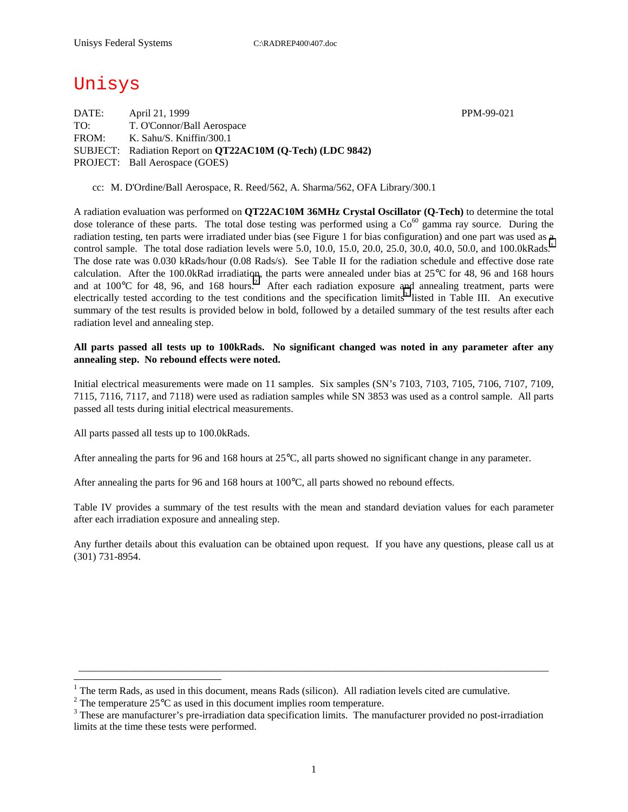# Unisys

DATE: April 21, 1999 PPM-99-021 TO: T. O'Connor/Ball Aerospace FROM: K. Sahu/S. Kniffin/300.1 SUBJECT: Radiation Report on **QT22AC10M (Q-Tech) (LDC 9842)** PROJECT: Ball Aerospace (GOES)

cc: M. D'Ordine/Ball Aerospace, R. Reed/562, A. Sharma/562, OFA Library/300.1

A radiation evaluation was performed on **QT22AC10M 36MHz Crystal Oscillator (Q-Tech)** to determine the total dose tolerance of these parts. The total dose testing was performed using a  $Co<sup>60</sup>$  gamma ray source. During the radiation testing, ten parts were irradiated under bias (see Figure 1 for bias configuration) and one part was used as a control sample. The total dose radiation levels were 5.0, 10.0, 15.0, 20.0, 25.0, 30.0, 40.0, 50.0, and 100.0kRads.<sup>1</sup> The dose rate was 0.030 kRads/hour (0.08 Rads/s). See Table II for the radiation schedule and effective dose rate calculation. After the 100.0kRad irradiation, the parts were annealed under bias at 25°C for 48, 96 and 168 hours and at  $100^{\circ}$ C for 48, 96, and 168 hours.<sup>2</sup> After each radiation exposure and annealing treatment, parts were electrically tested according to the test conditions and the specification limits<sup>3</sup> listed in Table III. An executive summary of the test results is provided below in bold, followed by a detailed summary of the test results after each radiation level and annealing step.

#### **All parts passed all tests up to 100kRads. No significant changed was noted in any parameter after any annealing step. No rebound effects were noted.**

Initial electrical measurements were made on 11 samples. Six samples (SN's 7103, 7103, 7105, 7106, 7107, 7109, 7115, 7116, 7117, and 7118) were used as radiation samples while SN 3853 was used as a control sample. All parts passed all tests during initial electrical measurements.

All parts passed all tests up to 100.0kRads.

 $\overline{a}$ 

After annealing the parts for 96 and 168 hours at 25°C, all parts showed no significant change in any parameter.

After annealing the parts for 96 and 168 hours at 100°C, all parts showed no rebound effects.

Table IV provides a summary of the test results with the mean and standard deviation values for each parameter after each irradiation exposure and annealing step.

Any further details about this evaluation can be obtained upon request. If you have any questions, please call us at (301) 731-8954.

\_\_\_\_\_\_\_\_\_\_\_\_\_\_\_\_\_\_\_\_\_\_\_\_\_\_\_\_\_\_\_\_\_\_\_\_\_\_\_\_\_\_\_\_\_\_\_\_\_\_\_\_\_\_\_\_\_\_\_\_\_\_\_\_\_\_\_\_\_\_\_\_\_\_\_\_\_\_\_\_\_\_\_\_\_\_\_\_\_\_\_

<sup>&</sup>lt;sup>1</sup> The term Rads, as used in this document, means Rads (silicon). All radiation levels cited are cumulative.

<sup>&</sup>lt;sup>2</sup> The temperature 25 $^{\circ}$ C as used in this document implies room temperature.  $^3$  These are manufacturer's are irrediction date apositionism limits. The manufacturer's

<sup>&</sup>lt;sup>3</sup> These are manufacturer's pre-irradiation data specification limits. The manufacturer provided no post-irradiation limits at the time these tests were performed.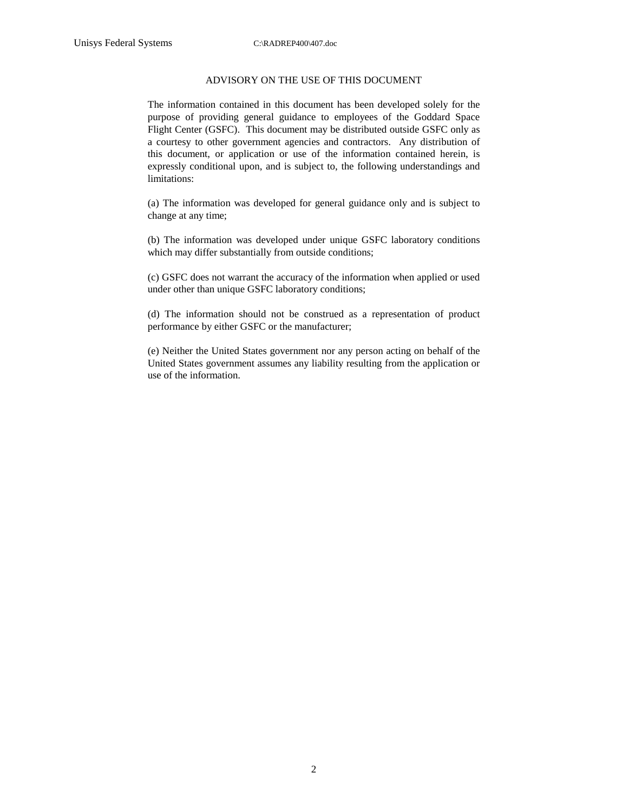#### ADVISORY ON THE USE OF THIS DOCUMENT

The information contained in this document has been developed solely for the purpose of providing general guidance to employees of the Goddard Space Flight Center (GSFC). This document may be distributed outside GSFC only as a courtesy to other government agencies and contractors. Any distribution of this document, or application or use of the information contained herein, is expressly conditional upon, and is subject to, the following understandings and limitations:

(a) The information was developed for general guidance only and is subject to change at any time;

(b) The information was developed under unique GSFC laboratory conditions which may differ substantially from outside conditions;

(c) GSFC does not warrant the accuracy of the information when applied or used under other than unique GSFC laboratory conditions;

(d) The information should not be construed as a representation of product performance by either GSFC or the manufacturer;

(e) Neither the United States government nor any person acting on behalf of the United States government assumes any liability resulting from the application or use of the information.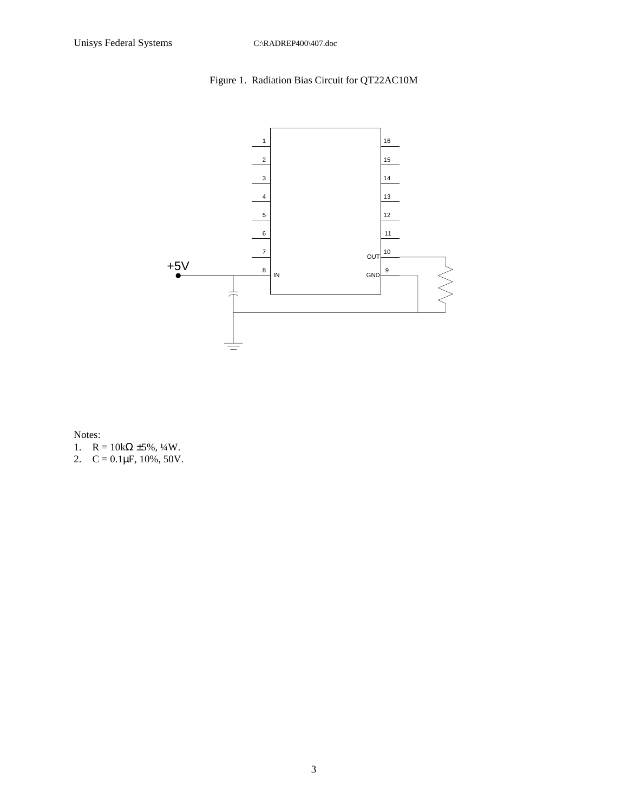# Figure 1. Radiation Bias Circuit for QT22AC10M



Notes:

- 1.  $R = 10k\Omega \pm 5\%, \frac{1}{4}W$ .
- 2.  $C = 0.1 \mu F$ , 10%, 50V.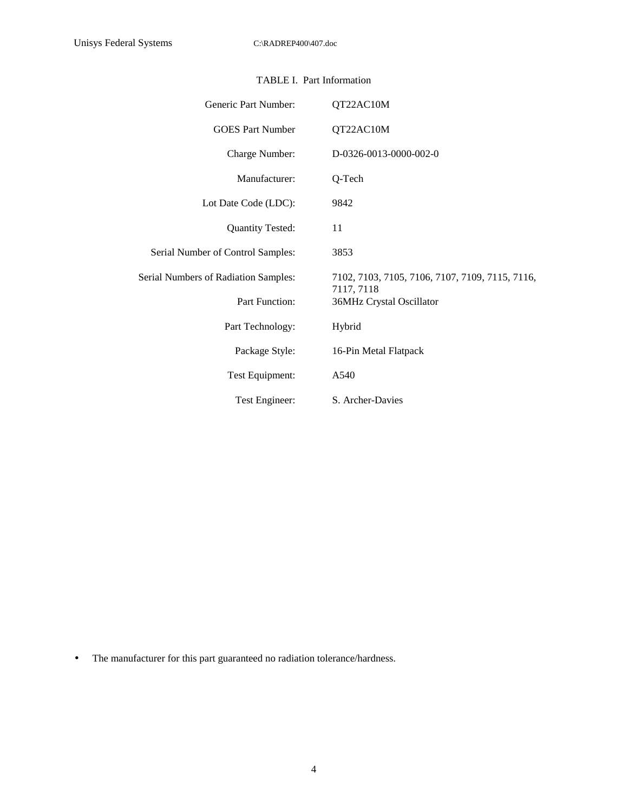| Generic Part Number:                 | QT22AC10M                                                     |
|--------------------------------------|---------------------------------------------------------------|
| <b>GOES Part Number</b>              | QT22AC10M                                                     |
| Charge Number:                       | D-0326-0013-0000-002-0                                        |
| Manufacturer:                        | Q-Tech                                                        |
| Lot Date Code (LDC):                 | 9842                                                          |
| <b>Quantity Tested:</b>              | 11                                                            |
| Serial Number of Control Samples:    | 3853                                                          |
| Serial Numbers of Radiation Samples: | 7102, 7103, 7105, 7106, 7107, 7109, 7115, 7116,<br>7117, 7118 |
| <b>Part Function:</b>                | 36MHz Crystal Oscillator                                      |
| Part Technology:                     | Hybrid                                                        |
| Package Style:                       | 16-Pin Metal Flatpack                                         |
| Test Equipment:                      | A540                                                          |
| Test Engineer:                       | S. Archer-Davies                                              |

### TABLE I. Part Information

• The manufacturer for this part guaranteed no radiation tolerance/hardness.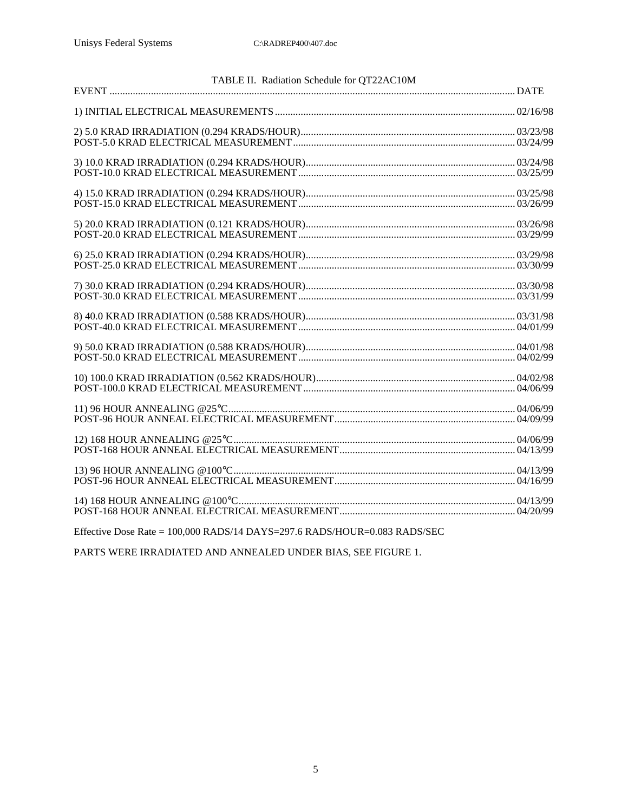| TABLE II. Radiation Schedule for QT22AC10M |  |
|--------------------------------------------|--|
|                                            |  |
|                                            |  |
|                                            |  |
|                                            |  |
|                                            |  |
|                                            |  |
|                                            |  |
|                                            |  |
|                                            |  |
|                                            |  |
|                                            |  |
|                                            |  |
|                                            |  |
|                                            |  |
|                                            |  |
|                                            |  |
|                                            |  |
|                                            |  |
|                                            |  |
|                                            |  |
|                                            |  |
|                                            |  |
|                                            |  |
|                                            |  |
|                                            |  |
|                                            |  |
|                                            |  |
|                                            |  |
|                                            |  |

Effective Dose Rate = 100,000 RADS/14 DAYS=297.6 RADS/HOUR=0.083 RADS/SEC

PARTS WERE IRRADIATED AND ANNEALED UNDER BIAS, SEE FIGURE 1.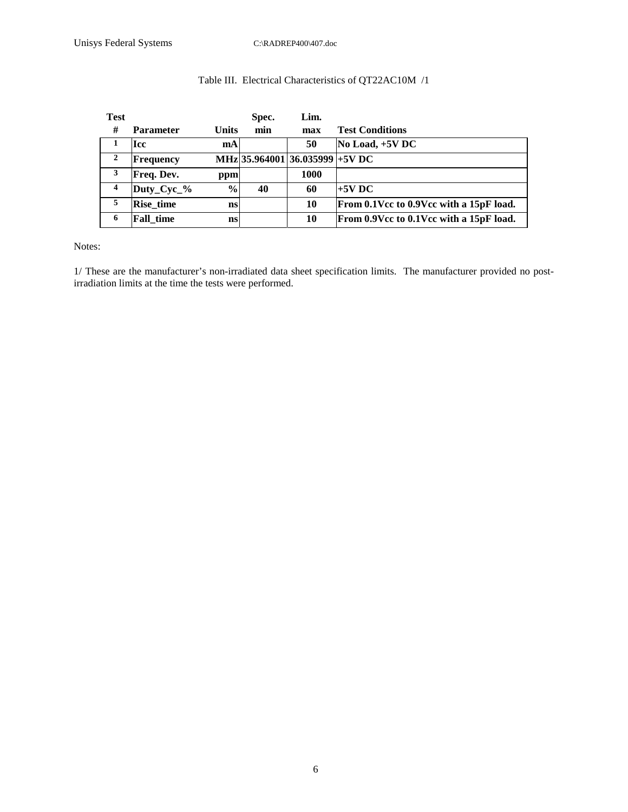## Table III. Electrical Characteristics of QT22AC10M /1

| <b>Test</b>             |                  |               | Spec. | Lim.                            |                                         |
|-------------------------|------------------|---------------|-------|---------------------------------|-----------------------------------------|
| #                       | <b>Parameter</b> | <b>Units</b>  | min   | max                             | <b>Test Conditions</b>                  |
|                         | <b>Icc</b>       | mA            |       | 50                              | $No$ Load, $+5V$ DC                     |
| $\mathbf{2}$            | Frequency        |               |       | MHz 35.964001 36.035999 + 5V DC |                                         |
| 3                       | Freq. Dev.       | ppm           |       | 1000                            |                                         |
| $\overline{\mathbf{4}}$ | Duty_Cyc_%       | $\frac{6}{9}$ | 40    | 60                              | $+5V$ DC                                |
| 5                       | <b>Rise time</b> | ns            |       | 10                              | From 0.1Vcc to 0.9Vcc with a 15pF load. |
| 6                       | <b>Fall time</b> | ns            |       | 10                              | From 0.9Vcc to 0.1Vcc with a 15pF load. |

Notes:

1/ These are the manufacturer's non-irradiated data sheet specification limits. The manufacturer provided no postirradiation limits at the time the tests were performed.